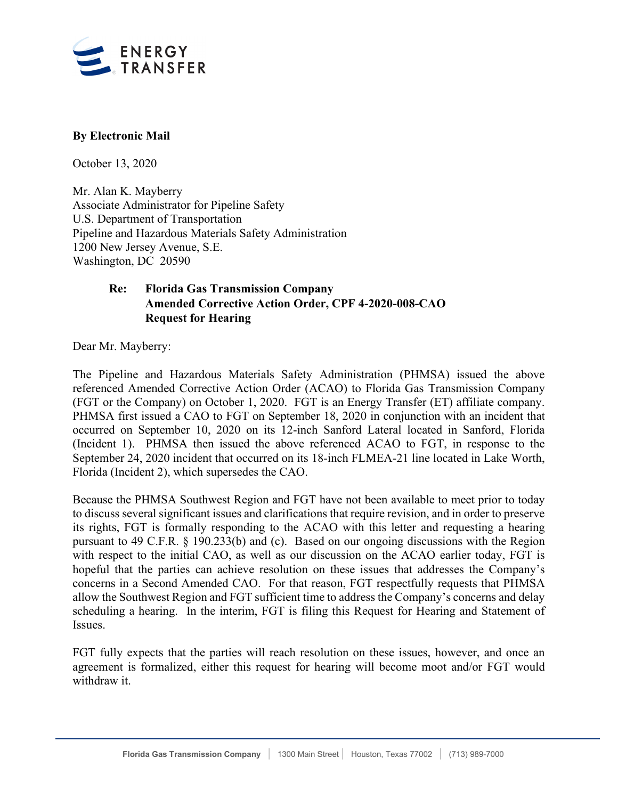

## **By Electronic Mail**

October 13, 2020

Mr. Alan K. Mayberry Associate Administrator for Pipeline Safety U.S. Department of Transportation Pipeline and Hazardous Materials Safety Administration 1200 New Jersey Avenue, S.E. Washington, DC 20590

# **Re: Florida Gas Transmission Company Amended Corrective Action Order, CPF 4-2020-008-CAO Request for Hearing**

Dear Mr. Mayberry:

The Pipeline and Hazardous Materials Safety Administration (PHMSA) issued the above referenced Amended Corrective Action Order (ACAO) to Florida Gas Transmission Company (FGT or the Company) on October 1, 2020. FGT is an Energy Transfer (ET) affiliate company. PHMSA first issued a CAO to FGT on September 18, 2020 in conjunction with an incident that occurred on September 10, 2020 on its 12-inch Sanford Lateral located in Sanford, Florida (Incident 1). PHMSA then issued the above referenced ACAO to FGT, in response to the September 24, 2020 incident that occurred on its 18-inch FLMEA-21 line located in Lake Worth, Florida (Incident 2), which supersedes the CAO.

Because the PHMSA Southwest Region and FGT have not been available to meet prior to today to discuss several significant issues and clarifications that require revision, and in order to preserve its rights, FGT is formally responding to the ACAO with this letter and requesting a hearing pursuant to 49 C.F.R. § 190.233(b) and (c). Based on our ongoing discussions with the Region with respect to the initial CAO, as well as our discussion on the ACAO earlier today, FGT is hopeful that the parties can achieve resolution on these issues that addresses the Company's concerns in a Second Amended CAO. For that reason, FGT respectfully requests that PHMSA allow the Southwest Region and FGT sufficient time to address the Company's concerns and delay scheduling a hearing. In the interim, FGT is filing this Request for Hearing and Statement of Issues.

FGT fully expects that the parties will reach resolution on these issues, however, and once an agreement is formalized, either this request for hearing will become moot and/or FGT would withdraw it.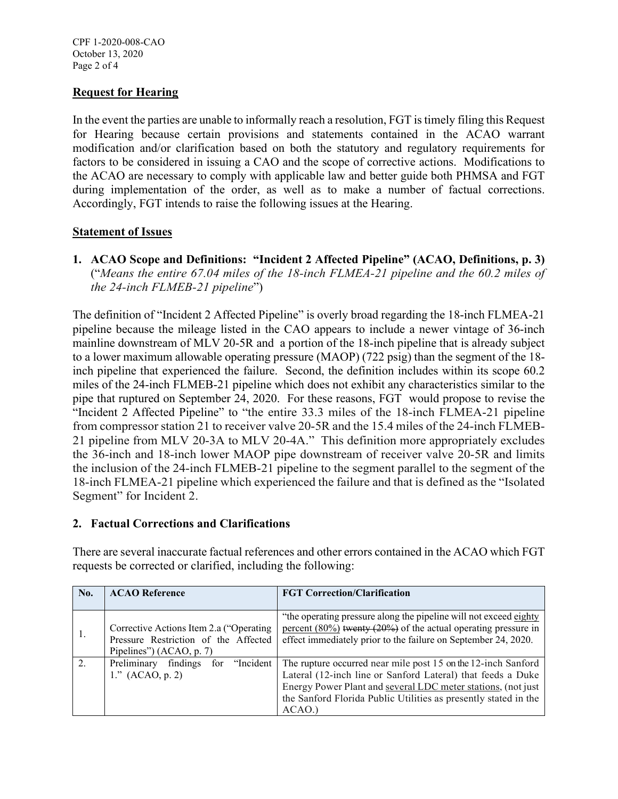### **Request for Hearing**

In the event the parties are unable to informally reach a resolution, FGT is timely filing this Request for Hearing because certain provisions and statements contained in the ACAO warrant modification and/or clarification based on both the statutory and regulatory requirements for factors to be considered in issuing a CAO and the scope of corrective actions. Modifications to the ACAO are necessary to comply with applicable law and better guide both PHMSA and FGT during implementation of the order, as well as to make a number of factual corrections. Accordingly, FGT intends to raise the following issues at the Hearing.

### **Statement of Issues**

**1. ACAO Scope and Definitions: "Incident 2 Affected Pipeline" (ACAO, Definitions, p. 3)**  ("*Means the entire 67.04 miles of the 18-inch FLMEA-21 pipeline and the 60.2 miles of the 24-inch FLMEB-21 pipeline*")

The definition of "Incident 2 Affected Pipeline" is overly broad regarding the 18-inch FLMEA-21 pipeline because the mileage listed in the CAO appears to include a newer vintage of 36-inch mainline downstream of MLV 20-5R and a portion of the 18-inch pipeline that is already subject to a lower maximum allowable operating pressure (MAOP) (722 psig) than the segment of the 18 inch pipeline that experienced the failure. Second, the definition includes within its scope 60.2 miles of the 24-inch FLMEB-21 pipeline which does not exhibit any characteristics similar to the pipe that ruptured on September 24, 2020. For these reasons, FGT would propose to revise the "Incident 2 Affected Pipeline" to "the entire 33.3 miles of the 18-inch FLMEA-21 pipeline from compressor station 21 to receiver valve 20-5R and the 15.4 miles of the 24-inch FLMEB-21 pipeline from MLV 20-3A to MLV 20-4A." This definition more appropriately excludes the 36-inch and 18-inch lower MAOP pipe downstream of receiver valve 20-5R and limits the inclusion of the 24-inch FLMEB-21 pipeline to the segment parallel to the segment of the 18-inch FLMEA-21 pipeline which experienced the failure and that is defined as the "Isolated Segment" for Incident 2.

## **2. Factual Corrections and Clarifications**

There are several inaccurate factual references and other errors contained in the ACAO which FGT requests be corrected or clarified, including the following:

| No.            | <b>ACAO Reference</b>                     | <b>FGT Correction/Clarification</b>                                  |
|----------------|-------------------------------------------|----------------------------------------------------------------------|
|                |                                           |                                                                      |
|                |                                           | "the operating pressure along the pipeline will not exceed eighty    |
| 1.             | Corrective Actions Item 2.a ("Operating   | percent $(80\%)$ twenty $(20\%)$ of the actual operating pressure in |
|                | Pressure Restriction of the Affected      | effect immediately prior to the failure on September 24, 2020.       |
|                | Pipelines") (ACAO, p. 7)                  |                                                                      |
| $\mathfrak{D}$ | findings<br>for "Incident"<br>Preliminary | The rupture occurred near mile post 15 on the 12-inch Sanford        |
|                | 1." (ACAO, p. 2)                          | Lateral (12-inch line or Sanford Lateral) that feeds a Duke          |
|                |                                           | Energy Power Plant and several LDC meter stations, (not just         |
|                |                                           | the Sanford Florida Public Utilities as presently stated in the      |
|                |                                           | ACAO.                                                                |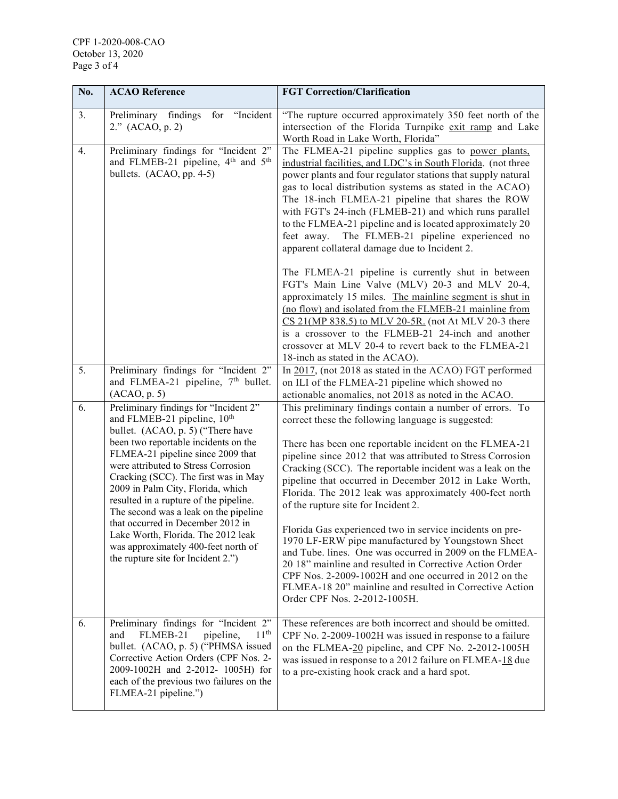| No. | <b>ACAO</b> Reference                                                                                                                                                                                                                                                                                                                                                                                                                                                                                                                                             | <b>FGT Correction/Clarification</b>                                                                                                                                                                                                                                                                                                                                                                                                                                                                                                                                                                                                                                                                                                                                                                                                                                                                                                                                     |
|-----|-------------------------------------------------------------------------------------------------------------------------------------------------------------------------------------------------------------------------------------------------------------------------------------------------------------------------------------------------------------------------------------------------------------------------------------------------------------------------------------------------------------------------------------------------------------------|-------------------------------------------------------------------------------------------------------------------------------------------------------------------------------------------------------------------------------------------------------------------------------------------------------------------------------------------------------------------------------------------------------------------------------------------------------------------------------------------------------------------------------------------------------------------------------------------------------------------------------------------------------------------------------------------------------------------------------------------------------------------------------------------------------------------------------------------------------------------------------------------------------------------------------------------------------------------------|
| 3.  | for "Incident<br>Preliminary findings<br>2." (ACAO, p. 2)                                                                                                                                                                                                                                                                                                                                                                                                                                                                                                         | "The rupture occurred approximately 350 feet north of the<br>intersection of the Florida Turnpike exit ramp and Lake<br>Worth Road in Lake Worth, Florida"                                                                                                                                                                                                                                                                                                                                                                                                                                                                                                                                                                                                                                                                                                                                                                                                              |
| 4.  | Preliminary findings for "Incident 2"<br>and FLMEB-21 pipeline, 4 <sup>th</sup> and 5 <sup>th</sup><br>bullets. (ACAO, pp. 4-5)                                                                                                                                                                                                                                                                                                                                                                                                                                   | The FLMEA-21 pipeline supplies gas to power plants,<br>industrial facilities, and LDC's in South Florida. (not three<br>power plants and four regulator stations that supply natural<br>gas to local distribution systems as stated in the ACAO)<br>The 18-inch FLMEA-21 pipeline that shares the ROW<br>with FGT's 24-inch (FLMEB-21) and which runs parallel<br>to the FLMEA-21 pipeline and is located approximately 20<br>feet away.<br>The FLMEB-21 pipeline experienced no<br>apparent collateral damage due to Incident 2.<br>The FLMEA-21 pipeline is currently shut in between<br>FGT's Main Line Valve (MLV) 20-3 and MLV 20-4,<br>approximately 15 miles. The mainline segment is shut in<br>(no flow) and isolated from the FLMEB-21 mainline from<br>CS 21(MP 838.5) to MLV 20-5R. (not At MLV 20-3 there<br>is a crossover to the FLMEB-21 24-inch and another<br>crossover at MLV 20-4 to revert back to the FLMEA-21<br>18-inch as stated in the ACAO). |
| 5.  | Preliminary findings for "Incident 2"<br>and FLMEA-21 pipeline, 7 <sup>th</sup> bullet.<br>(ACAO, p. 5)                                                                                                                                                                                                                                                                                                                                                                                                                                                           | In 2017, (not 2018 as stated in the ACAO) FGT performed<br>on ILI of the FLMEA-21 pipeline which showed no<br>actionable anomalies, not 2018 as noted in the ACAO.                                                                                                                                                                                                                                                                                                                                                                                                                                                                                                                                                                                                                                                                                                                                                                                                      |
| 6.  | Preliminary findings for "Incident 2"<br>and FLMEB-21 pipeline, 10 <sup>th</sup><br>bullet. (ACAO, p. 5) ("There have<br>been two reportable incidents on the<br>FLMEA-21 pipeline since 2009 that<br>were attributed to Stress Corrosion<br>Cracking (SCC). The first was in May<br>2009 in Palm City, Florida, which<br>resulted in a rupture of the pipeline.<br>The second was a leak on the pipeline<br>that occurred in December 2012 in<br>Lake Worth, Florida. The 2012 leak<br>was approximately 400-feet north of<br>the rupture site for Incident 2.") | This preliminary findings contain a number of errors. To<br>correct these the following language is suggested:<br>There has been one reportable incident on the FLMEA-21<br>pipeline since 2012 that was attributed to Stress Corrosion<br>Cracking (SCC). The reportable incident was a leak on the<br>pipeline that occurred in December 2012 in Lake Worth,<br>Florida. The 2012 leak was approximately 400-feet north<br>of the rupture site for Incident 2.<br>Florida Gas experienced two in service incidents on pre-<br>1970 LF-ERW pipe manufactured by Youngstown Sheet<br>and Tube. lines. One was occurred in 2009 on the FLMEA-<br>20 18" mainline and resulted in Corrective Action Order<br>CPF Nos. 2-2009-1002H and one occurred in 2012 on the<br>FLMEA-18 20" mainline and resulted in Corrective Action<br>Order CPF Nos. 2-2012-1005H.                                                                                                             |
| 6.  | Preliminary findings for "Incident 2"<br>11 <sup>th</sup><br>FLMEB-21<br>pipeline,<br>and<br>bullet. (ACAO, p. 5) ("PHMSA issued<br>Corrective Action Orders (CPF Nos. 2-<br>2009-1002H and 2-2012- 1005H) for<br>each of the previous two failures on the<br>FLMEA-21 pipeline.")                                                                                                                                                                                                                                                                                | These references are both incorrect and should be omitted.<br>CPF No. 2-2009-1002H was issued in response to a failure<br>on the FLMEA-20 pipeline, and CPF No. 2-2012-1005H<br>was issued in response to a 2012 failure on FLMEA-18 due<br>to a pre-existing hook crack and a hard spot.                                                                                                                                                                                                                                                                                                                                                                                                                                                                                                                                                                                                                                                                               |